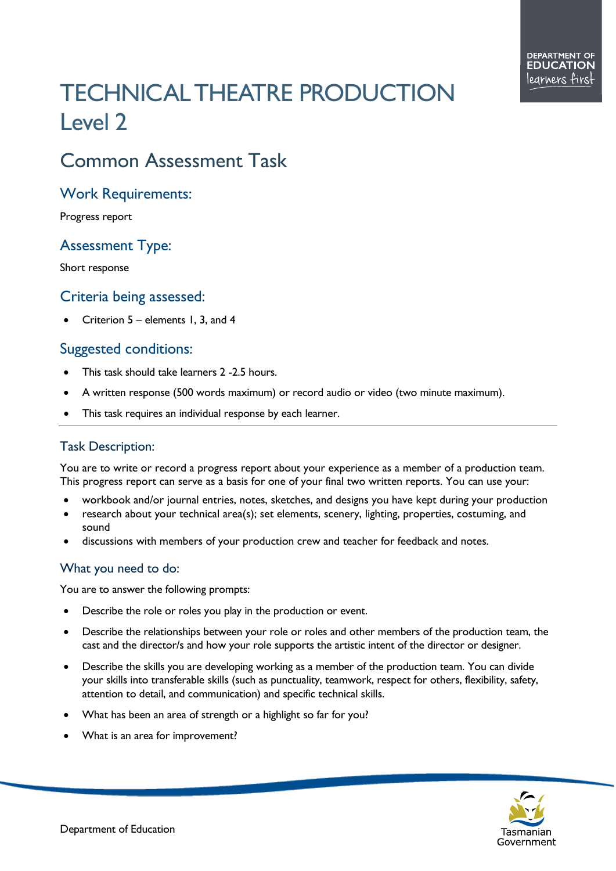# TECHNICAL THEATRE PRODUCTION Level 2

## Common Assessment Task

#### Work Requirements:

Progress report

### Assessment Type:

Short response

#### Criteria being assessed:

• Criterion 5 – elements 1, 3, and 4

#### Suggested conditions:

- This task should take learners 2 2.5 hours.
- A written response (500 words maximum) or record audio or video (two minute maximum).
- This task requires an individual response by each learner.

#### Task Description:

You are to write or record a progress report about your experience as a member of a production team. This progress report can serve as a basis for one of your final two written reports. You can use your:

- workbook and/or journal entries, notes, sketches, and designs you have kept during your production
- research about your technical area(s); set elements, scenery, lighting, properties, costuming, and sound
- discussions with members of your production crew and teacher for feedback and notes.

#### What you need to do:

You are to answer the following prompts:

- Describe the role or roles you play in the production or event.
- Describe the relationships between your role or roles and other members of the production team, the cast and the director/s and how your role supports the artistic intent of the director or designer.
- Describe the skills you are developing working as a member of the production team. You can divide your skills into transferable skills (such as punctuality, teamwork, respect for others, flexibility, safety, attention to detail, and communication) and specific technical skills.
- What has been an area of strength or a highlight so far for you?
- What is an area for improvement?